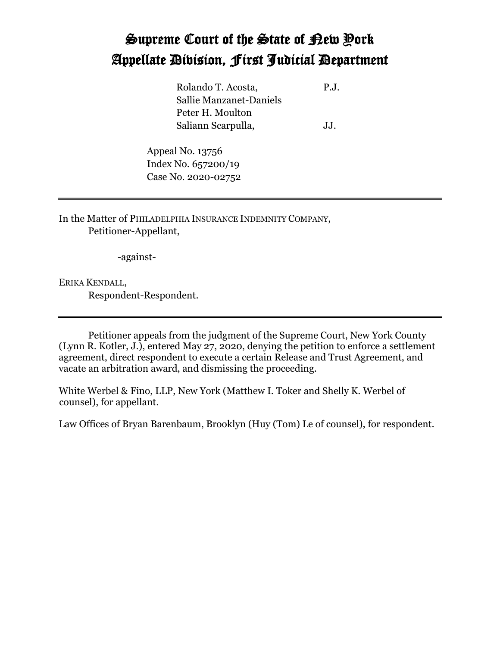## Supreme Court of the State of New York Appellate Division, First Judicial Department

Rolando T. Acosta, P.J. Sallie Manzanet-Daniels Peter H. Moulton Saliann Scarpulla, J.J.

Appeal No. 13756 Index No. 657200/19 Case No. 2020-02752

In the Matter of PHILADELPHIA INSURANCE INDEMNITY COMPANY, Petitioner-Appellant,

-against-

ERIKA KENDALL, Respondent-Respondent.

Petitioner appeals from the judgment of the Supreme Court, New York County (Lynn R. Kotler, J.), entered May 27, 2020, denying the petition to enforce a settlement agreement, direct respondent to execute a certain Release and Trust Agreement, and vacate an arbitration award, and dismissing the proceeding.

White Werbel & Fino, LLP, New York (Matthew I. Toker and Shelly K. Werbel of counsel), for appellant.

Law Offices of Bryan Barenbaum, Brooklyn (Huy (Tom) Le of counsel), for respondent.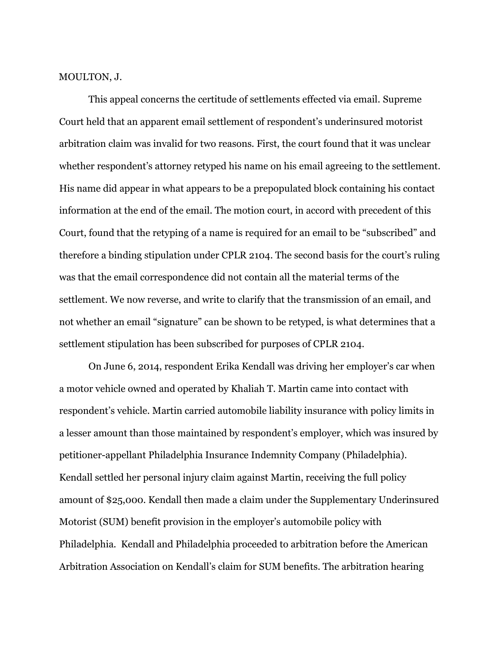MOULTON, J.

This appeal concerns the certitude of settlements effected via email. Supreme Court held that an apparent email settlement of respondent's underinsured motorist arbitration claim was invalid for two reasons. First, the court found that it was unclear whether respondent's attorney retyped his name on his email agreeing to the settlement. His name did appear in what appears to be a prepopulated block containing his contact information at the end of the email. The motion court, in accord with precedent of this Court, found that the retyping of a name is required for an email to be "subscribed" and therefore a binding stipulation under CPLR 2104. The second basis for the court's ruling was that the email correspondence did not contain all the material terms of the settlement. We now reverse, and write to clarify that the transmission of an email, and not whether an email "signature" can be shown to be retyped, is what determines that a settlement stipulation has been subscribed for purposes of CPLR 2104.

On June 6, 2014, respondent Erika Kendall was driving her employer's car when a motor vehicle owned and operated by Khaliah T. Martin came into contact with respondent's vehicle. Martin carried automobile liability insurance with policy limits in a lesser amount than those maintained by respondent's employer, which was insured by petitioner-appellant Philadelphia Insurance Indemnity Company (Philadelphia). Kendall settled her personal injury claim against Martin, receiving the full policy amount of \$25,000. Kendall then made a claim under the Supplementary Underinsured Motorist (SUM) benefit provision in the employer's automobile policy with Philadelphia*.* Kendall and Philadelphia proceeded to arbitration before the American Arbitration Association on Kendall's claim for SUM benefits. The arbitration hearing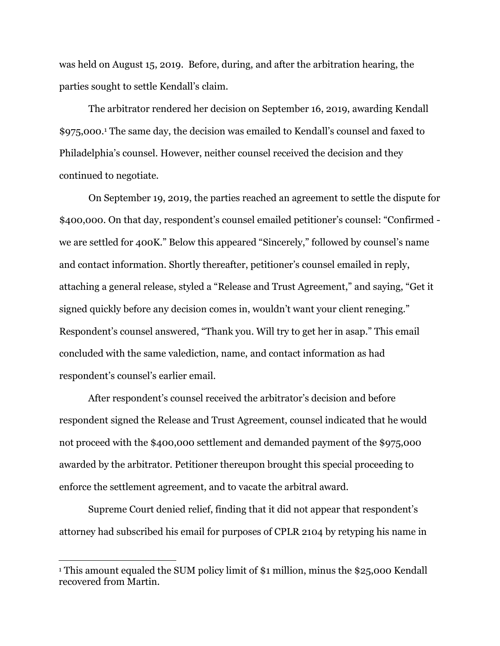was held on August 15, 2019. Before, during, and after the arbitration hearing, the parties sought to settle Kendall's claim.

The arbitrator rendered her decision on September 16, 2019, awarding Kendall \$975,000.<sup>1</sup> The same day, the decision was emailed to Kendall's counsel and faxed to Philadelphia's counsel. However, neither counsel received the decision and they continued to negotiate.

On September 19, 2019, the parties reached an agreement to settle the dispute for \$400,000. On that day, respondent's counsel emailed petitioner's counsel: "Confirmed we are settled for 400K." Below this appeared "Sincerely," followed by counsel's name and contact information. Shortly thereafter, petitioner's counsel emailed in reply, attaching a general release, styled a "Release and Trust Agreement," and saying, "Get it signed quickly before any decision comes in, wouldn't want your client reneging." Respondent's counsel answered, "Thank you. Will try to get her in asap." This email concluded with the same valediction, name, and contact information as had respondent's counsel's earlier email.

After respondent's counsel received the arbitrator's decision and before respondent signed the Release and Trust Agreement, counsel indicated that he would not proceed with the \$400,000 settlement and demanded payment of the \$975,000 awarded by the arbitrator. Petitioner thereupon brought this special proceeding to enforce the settlement agreement, and to vacate the arbitral award.

Supreme Court denied relief, finding that it did not appear that respondent's attorney had subscribed his email for purposes of CPLR 2104 by retyping his name in

<sup>&</sup>lt;sup>1</sup> This amount equaled the SUM policy limit of \$1 million, minus the \$25,000 Kendall recovered from Martin.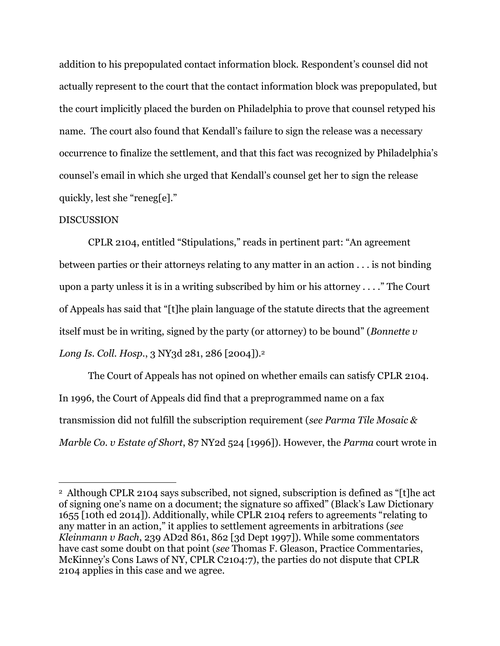addition to his prepopulated contact information block. Respondent's counsel did not actually represent to the court that the contact information block was prepopulated, but the court implicitly placed the burden on Philadelphia to prove that counsel retyped his name. The court also found that Kendall's failure to sign the release was a necessary occurrence to finalize the settlement, and that this fact was recognized by Philadelphia's counsel's email in which she urged that Kendall's counsel get her to sign the release quickly, lest she "reneg[e]."

## DISCUSSION

CPLR 2104, entitled "Stipulations," reads in pertinent part: "An agreement between parties or their attorneys relating to any matter in an action . . . is not binding upon a party unless it is in a writing subscribed by him or his attorney . . . ." The Court of Appeals has said that "[t]he plain language of the statute directs that the agreement itself must be in writing, signed by the party (or attorney) to be bound" (*Bonnette v Long Is. Coll. Hosp.*, 3 NY3d 281, 286 [2004]).<sup>2</sup>

The Court of Appeals has not opined on whether emails can satisfy CPLR 2104. In 1996, the Court of Appeals did find that a preprogrammed name on a fax transmission did not fulfill the subscription requirement (*see Parma Tile Mosaic & Marble Co. v Estate of Short*, 87 NY2d 524 [1996]). However, the *Parma* court wrote in

<sup>2</sup> Although CPLR 2104 says subscribed, not signed, subscription is defined as "[t]he act of signing one's name on a document; the signature so affixed" (Black's Law Dictionary 1655 [10th ed 2014]). Additionally, while CPLR 2104 refers to agreements "relating to any matter in an action," it applies to settlement agreements in arbitrations (*see Kleinmann v Bach*, 239 AD2d 861, 862 [3d Dept 1997]). While some commentators have cast some doubt on that point (*see* Thomas F. Gleason, Practice Commentaries, McKinney's Cons Laws of NY, CPLR C2104:7), the parties do not dispute that CPLR 2104 applies in this case and we agree.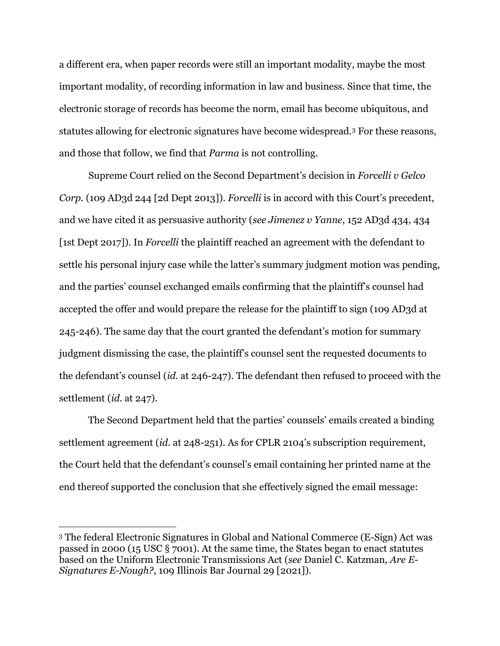a different era, when paper records were still an important modality, maybe the most important modality, of recording information in law and business. Since that time, the electronic storage of records has become the norm, email has become ubiquitous, and statutes allowing for electronic signatures have become widespread.<sup>3</sup> For these reasons, and those that follow, we find that *Parma* is not controlling.

Supreme Court relied on the Second Department's decision in *Forcelli v Gelco Corp.* (109 AD3d 244 [2d Dept 2013]). *Forcelli* is in accord with this Court's precedent, and we have cited it as persuasive authority (*see Jimenez v Yanne*, 152 AD3d 434, 434 [1st Dept 2017]). In *Forcelli* the plaintiff reached an agreement with the defendant to settle his personal injury case while the latter's summary judgment motion was pending, and the parties' counsel exchanged emails confirming that the plaintiff's counsel had accepted the offer and would prepare the release for the plaintiff to sign (109 AD3d at 245-246). The same day that the court granted the defendant's motion for summary judgment dismissing the case, the plaintiff's counsel sent the requested documents to the defendant's counsel (*id.* at 246-247). The defendant then refused to proceed with the settlement (*id.* at 247).

The Second Department held that the parties' counsels' emails created a binding settlement agreement (*id.* at 248-251). As for CPLR 2104's subscription requirement, the Court held that the defendant's counsel's email containing her printed name at the end thereof supported the conclusion that she effectively signed the email message:

<sup>3</sup> The federal Electronic Signatures in Global and National Commerce (E-Sign) Act was passed in 2000 (15 USC § 7001). At the same time, the States began to enact statutes based on the Uniform Electronic Transmissions Act (*see* Daniel C. Katzman*, Are E-Signatures E-Nough?*, 109 Illinois Bar Journal 29 [2021]).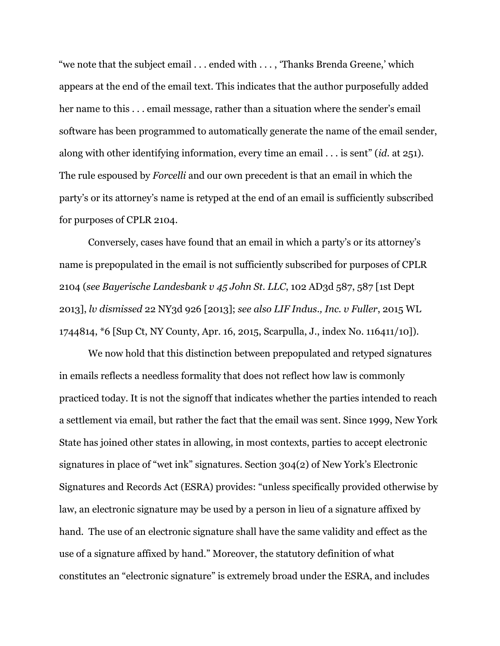"we note that the subject email . . . ended with . . . , 'Thanks Brenda Greene,' which appears at the end of the email text. This indicates that the author purposefully added her name to this . . . email message, rather than a situation where the sender's email software has been programmed to automatically generate the name of the email sender, along with other identifying information, every time an email . . . is sent" (*id.* at 251). The rule espoused by *Forcelli* and our own precedent is that an email in which the party's or its attorney's name is retyped at the end of an email is sufficiently subscribed for purposes of CPLR 2104.

Conversely, cases have found that an email in which a party's or its attorney's name is prepopulated in the email is not sufficiently subscribed for purposes of CPLR 2104 (*see Bayerische Landesbank v 45 John St. LLC*, 102 AD3d 587, 587 [1st Dept 2013], *lv dismissed* 22 NY3d 926 [2013]; *see also LIF Indus., Inc. v Fuller*, 2015 WL 1744814, \*6 [Sup Ct, NY County, Apr. 16, 2015, Scarpulla, J., index No. 116411/10]).

We now hold that this distinction between prepopulated and retyped signatures in emails reflects a needless formality that does not reflect how law is commonly practiced today. It is not the signoff that indicates whether the parties intended to reach a settlement via email, but rather the fact that the email was sent. Since 1999, New York State has joined other states in allowing, in most contexts, parties to accept electronic signatures in place of "wet ink" signatures. Section 304(2) of New York's Electronic Signatures and Records Act (ESRA) provides: "unless specifically provided otherwise by law, an electronic signature may be used by a person in lieu of a signature affixed by hand. The use of an electronic signature shall have the same validity and effect as the use of a signature affixed by hand." Moreover, the statutory definition of what constitutes an "electronic signature" is extremely broad under the ESRA, and includes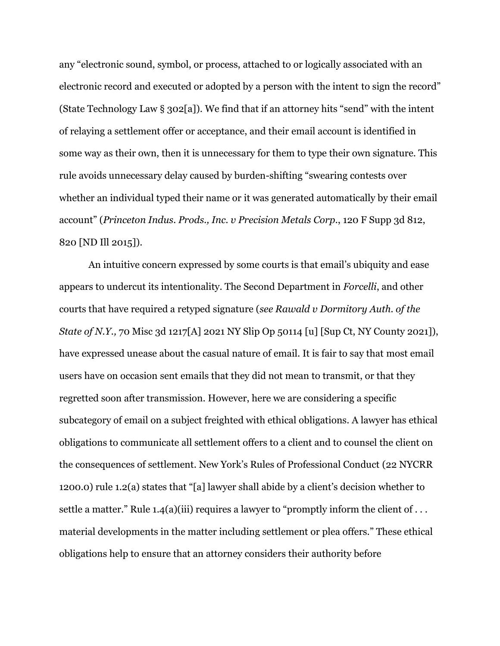any "electronic sound, symbol, or process, attached to or logically associated with an electronic record and executed or adopted by a person with the intent to sign the record" (State Technology Law § 302[a]). We find that if an attorney hits "send" with the intent of relaying a settlement offer or acceptance, and their email account is identified in some way as their own, then it is unnecessary for them to type their own signature. This rule avoids unnecessary delay caused by burden-shifting "swearing contests over whether an individual typed their name or it was generated automatically by their email account" (*Princeton Indus. Prods., Inc. v Precision Metals Corp.*, 120 F Supp 3d 812, 820 [ND Ill 2015]).

An intuitive concern expressed by some courts is that email's ubiquity and ease appears to undercut its intentionality. The Second Department in *Forcelli*, and other courts that have required a retyped signature (*see Rawald v Dormitory Auth. of the State of N.Y.,* 70 Misc 3d 1217[A] 2021 NY Slip Op 50114 [u] [Sup Ct, NY County 2021]), have expressed unease about the casual nature of email. It is fair to say that most email users have on occasion sent emails that they did not mean to transmit, or that they regretted soon after transmission. However, here we are considering a specific subcategory of email on a subject freighted with ethical obligations. A lawyer has ethical obligations to communicate all settlement offers to a client and to counsel the client on the consequences of settlement. New York's Rules of Professional Conduct (22 NYCRR 1200.0) rule 1.2(a) states that "[a] lawyer shall abide by a client's decision whether to settle a matter." Rule 1.4(a)(iii) requires a lawyer to "promptly inform the client of ... material developments in the matter including settlement or plea offers." These ethical obligations help to ensure that an attorney considers their authority before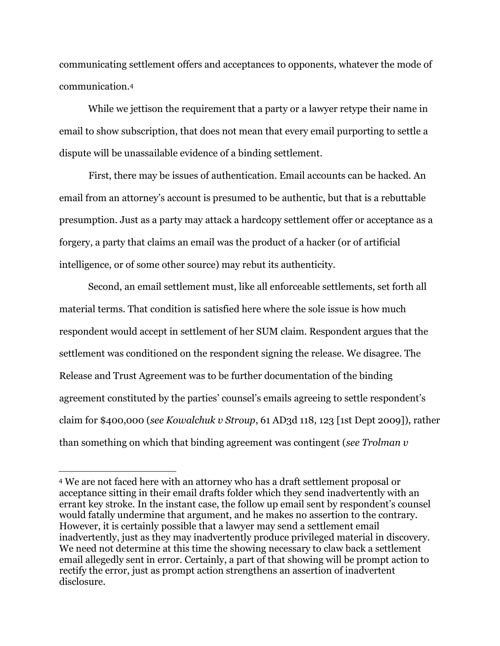communicating settlement offers and acceptances to opponents, whatever the mode of communication.<sup>4</sup>

While we jettison the requirement that a party or a lawyer retype their name in email to show subscription, that does not mean that every email purporting to settle a dispute will be unassailable evidence of a binding settlement.

First, there may be issues of authentication. Email accounts can be hacked. An email from an attorney's account is presumed to be authentic, but that is a rebuttable presumption. Just as a party may attack a hardcopy settlement offer or acceptance as a forgery, a party that claims an email was the product of a hacker (or of artificial intelligence, or of some other source) may rebut its authenticity.

Second, an email settlement must, like all enforceable settlements, set forth all material terms. That condition is satisfied here where the sole issue is how much respondent would accept in settlement of her SUM claim. Respondent argues that the settlement was conditioned on the respondent signing the release. We disagree. The Release and Trust Agreement was to be further documentation of the binding agreement constituted by the parties' counsel's emails agreeing to settle respondent's claim for \$400,000 (*see Kowalchuk v Stroup*, 61 AD3d 118, 123 [1st Dept 2009]), rather than something on which that binding agreement was contingent (*see Trolman v* 

<sup>4</sup> We are not faced here with an attorney who has a draft settlement proposal or acceptance sitting in their email drafts folder which they send inadvertently with an errant key stroke. In the instant case, the follow up email sent by respondent's counsel would fatally undermine that argument, and he makes no assertion to the contrary. However, it is certainly possible that a lawyer may send a settlement email inadvertently, just as they may inadvertently produce privileged material in discovery. We need not determine at this time the showing necessary to claw back a settlement email allegedly sent in error. Certainly, a part of that showing will be prompt action to rectify the error, just as prompt action strengthens an assertion of inadvertent disclosure.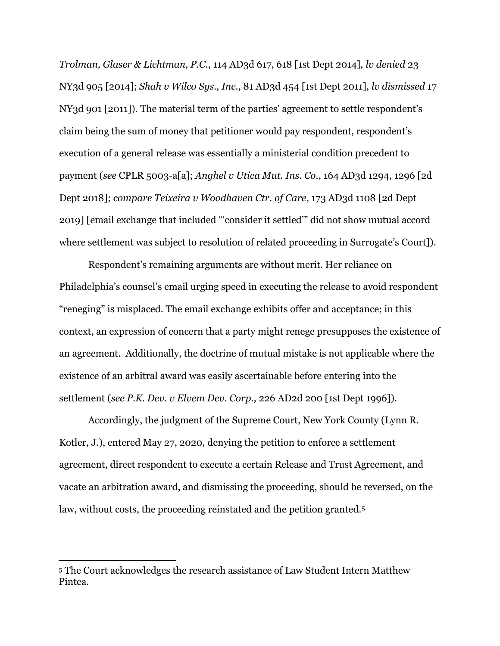*Trolman, Glaser & Lichtman, P.C.*, 114 AD3d 617, 618 [1st Dept 2014], *lv denied* 23 NY3d 905 [2014]; *Shah v Wilco Sys., Inc.*, 81 AD3d 454 [1st Dept 2011], *lv dismissed* 17 NY3d 901 [2011]). The material term of the parties' agreement to settle respondent's claim being the sum of money that petitioner would pay respondent, respondent's execution of a general release was essentially a ministerial condition precedent to payment (*see* CPLR 5003-a[a]; *Anghel v Utica Mut. Ins. Co.*, 164 AD3d 1294, 1296 [2d Dept 2018]; *compare Teixeira v Woodhaven Ctr. of Care*, 173 AD3d 1108 [2d Dept 2019] [email exchange that included "'consider it settled'" did not show mutual accord where settlement was subject to resolution of related proceeding in Surrogate's Court]).

Respondent's remaining arguments are without merit. Her reliance on Philadelphia's counsel's email urging speed in executing the release to avoid respondent "reneging" is misplaced. The email exchange exhibits offer and acceptance; in this context, an expression of concern that a party might renege presupposes the existence of an agreement. Additionally, the doctrine of mutual mistake is not applicable where the existence of an arbitral award was easily ascertainable before entering into the settlement (*see P.K. Dev. v Elvem Dev. Corp.,* 226 AD2d 200 [1st Dept 1996]).

Accordingly, the judgment of the Supreme Court, New York County (Lynn R. Kotler, J.), entered May 27, 2020, denying the petition to enforce a settlement agreement, direct respondent to execute a certain Release and Trust Agreement, and vacate an arbitration award, and dismissing the proceeding, should be reversed, on the law, without costs, the proceeding reinstated and the petition granted.<sup>5</sup>

<sup>5</sup> The Court acknowledges the research assistance of Law Student Intern Matthew Pintea.